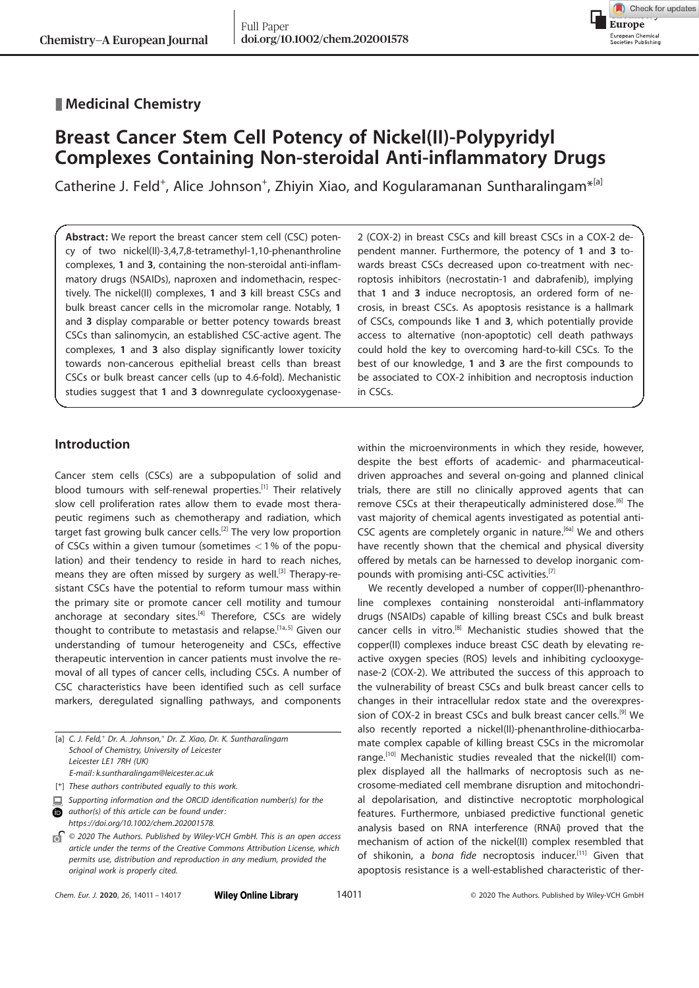# **Medicinal Chemistry**

# Breast Cancer Stem Cell Potency of Nickel(II)-Polypyridyl Complexes Containing Non-steroidal Anti-inflammatory Drugs

Catherine J. Feld<sup>+</sup>, [Alice](http://orcid.org/0000-0001-7676-2464) [Johnson](http://orcid.org/0000-0001-7676-2464)<sup>[+](http://orcid.org/0000-0001-7676-2464)</sup>, Zhiyin Xiao, and [Kogularamanan Suntharalingam](http://orcid.org/0000-0002-7047-6384)<sup>\*[a]</sup>

Abstract: We report the breast cancer stem cell (CSC) potency of two nickel(II)-3,4,7,8-tetramethyl-1,10-phenanthroline complexes, 1 and 3, containing the non-steroidal anti-inflammatory drugs (NSAIDs), naproxen and indomethacin, respectively. The nickel(II) complexes, 1 and 3 kill breast CSCs and bulk breast cancer cells in the micromolar range. Notably, 1 and 3 display comparable or better potency towards breast CSCs than salinomycin, an established CSC-active agent. The complexes, 1 and 3 also display significantly lower toxicity towards non-cancerous epithelial breast cells than breast CSCs or bulk breast cancer cells (up to 4.6-fold). Mechanistic studies suggest that 1 and 3 downregulate cyclooxygenase-

# Introduction

Cancer stem cells (CSCs) are a subpopulation of solid and blood tumours with self-renewal properties.<sup>[1]</sup> Their relatively slow cell proliferation rates allow them to evade most therapeutic regimens such as chemotherapy and radiation, which target fast growing bulk cancer cells.<sup>[2]</sup> The very low proportion of CSCs within a given tumour (sometimes  $<$  1% of the population) and their tendency to reside in hard to reach niches, means they are often missed by surgery as well.<sup>[3]</sup> Therapy-resistant CSCs have the potential to reform tumour mass within the primary site or promote cancer cell motility and tumour anchorage at secondary sites. $[4]$  Therefore, CSCs are widely thought to contribute to metastasis and relapse.<sup>[1a,5]</sup> Given our understanding of tumour heterogeneity and CSCs, effective therapeutic intervention in cancer patients must involve the removal of all types of cancer cells, including CSCs. A number of CSC characteristics have been identified such as cell surface markers, deregulated signalling pathways, and components

|   | [a] C. J. Feld, <sup>+</sup> Dr. A. Johnson, <sup>+</sup> Dr. Z. Xiao, Dr. K. Suntharalingam |
|---|----------------------------------------------------------------------------------------------|
|   | School of Chemistry, University of Leicester                                                 |
|   | Leicester LE1 7RH (UK)                                                                       |
|   | E-mail: k.suntharalingam@leicester.ac.uk                                                     |
|   | [ <sup>+</sup> ] These authors contributed equally to this work.                             |
| 昌 | Supporting information and the ORCID identification number(s) for the                        |
| 6 | author(s) of this article can be found under:                                                |

[https://doi.org/10.1002/chem.202001578.](https://doi.org/10.1002/chem.202001578)

2 (COX-2) in breast CSCs and kill breast CSCs in a COX-2 dependent manner. Furthermore, the potency of 1 and 3 towards breast CSCs decreased upon co-treatment with necroptosis inhibitors (necrostatin-1 and dabrafenib), implying that 1 and 3 induce necroptosis, an ordered form of necrosis, in breast CSCs. As apoptosis resistance is a hallmark of CSCs, compounds like 1 and 3, which potentially provide access to alternative (non-apoptotic) cell death pathways could hold the key to overcoming hard-to-kill CSCs. To the best of our knowledge, 1 and 3 are the first compounds to be associated to COX-2 inhibition and necroptosis induction in CSCs.

Check for updates

**Europe** European Chemical<br>Societies Publishing

within the microenvironments in which they reside, however, despite the best efforts of academic- and pharmaceuticaldriven approaches and several on-going and planned clinical trials, there are still no clinically approved agents that can remove CSCs at their therapeutically administered dose.<sup>[6]</sup> The vast majority of chemical agents investigated as potential anti-CSC agents are completely organic in nature.<sup>[6a]</sup> We and others have recently shown that the chemical and physical diversity offered by metals can be harnessed to develop inorganic compounds with promising anti-CSC activities.[7]

We recently developed a number of copper(II)-phenanthroline complexes containing nonsteroidal anti-inflammatory drugs (NSAIDs) capable of killing breast CSCs and bulk breast cancer cells in vitro.<sup>[8]</sup> Mechanistic studies showed that the copper(II) complexes induce breast CSC death by elevating reactive oxygen species (ROS) levels and inhibiting cyclooxygenase-2 (COX-2). We attributed the success of this approach to the vulnerability of breast CSCs and bulk breast cancer cells to changes in their intracellular redox state and the overexpression of COX-2 in breast CSCs and bulk breast cancer cells.<sup>[9]</sup> We also recently reported a nickel(II)-phenanthroline-dithiocarbamate complex capable of killing breast CSCs in the micromolar range.<sup>[10]</sup> Mechanistic studies revealed that the nickel(II) complex displayed all the hallmarks of necroptosis such as necrosome-mediated cell membrane disruption and mitochondrial depolarisation, and distinctive necroptotic morphological features. Furthermore, unbiased predictive functional genetic analysis based on RNA interference (RNAi) proved that the mechanism of action of the nickel(II) complex resembled that of shikonin, a bona fide necroptosis inducer.<sup>[11]</sup> Given that apoptosis resistance is a well-established characteristic of ther-

 $\int$  © 2020 The Authors. Published by Wiley-VCH GmbH. This is an open access article under the terms of the Creative Commons Attribution License, which permits use, distribution and reproduction in any medium, provided the original work is properly cited.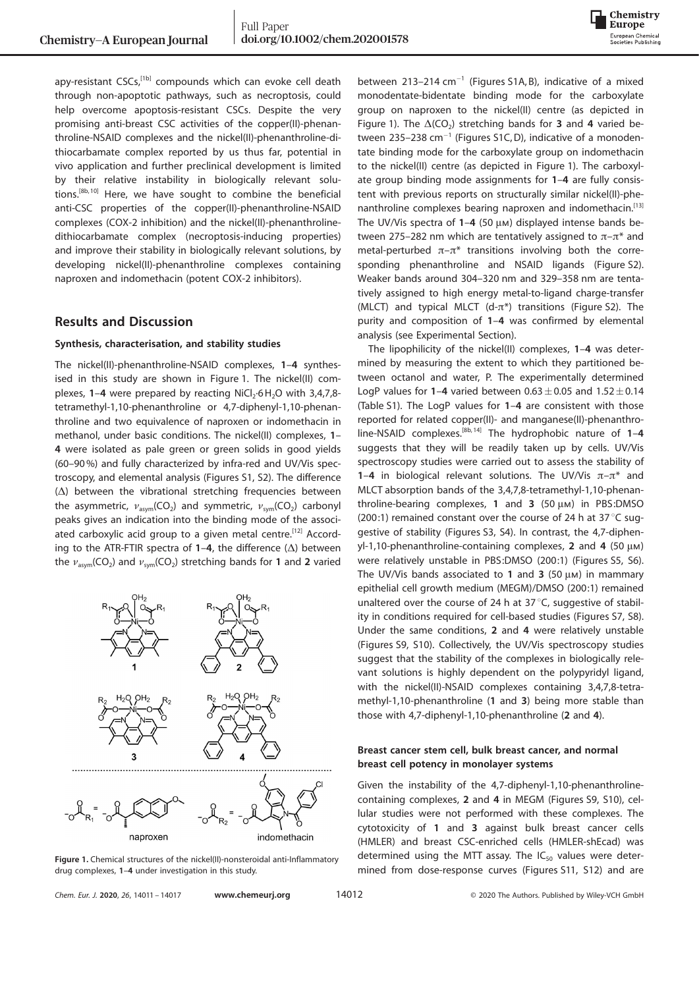

apy-resistant CSCs,<sup>[1b]</sup> compounds which can evoke cell death through non-apoptotic pathways, such as necroptosis, could help overcome apoptosis-resistant CSCs. Despite the very promising anti-breast CSC activities of the copper(II)-phenanthroline-NSAID complexes and the nickel(II)-phenanthroline-dithiocarbamate complex reported by us thus far, potential in vivo application and further preclinical development is limited by their relative instability in biologically relevant solutions.<sup>[8b, 10]</sup> Here, we have sought to combine the beneficial anti-CSC properties of the copper(II)-phenanthroline-NSAID complexes (COX-2 inhibition) and the nickel(II)-phenanthrolinedithiocarbamate complex (necroptosis-inducing properties) and improve their stability in biologically relevant solutions, by developing nickel(II)-phenanthroline complexes containing naproxen and indomethacin (potent COX-2 inhibitors).

# Results and Discussion

## Synthesis, characterisation, and stability studies

The nickel(II)-phenanthroline-NSAID complexes, 1–4 synthesised in this study are shown in Figure 1. The nickel(II) complexes, 1–4 were prepared by reacting  $\text{NiCl}_2$ -6 $\text{H}_2\text{O}$  with 3,4,7,8tetramethyl-1,10-phenanthroline or 4,7-diphenyl-1,10-phenanthroline and two equivalence of naproxen or indomethacin in methanol, under basic conditions. The nickel(II) complexes, 1– 4 were isolated as pale green or green solids in good yields (60–90%) and fully characterized by infra-red and UV/Vis spectroscopy, and elemental analysis (Figures S1, S2). The difference  $(\Delta)$  between the vibrational stretching frequencies between the asymmetric,  $v_{\text{asym}}$ (CO<sub>2</sub>) and symmetric,  $v_{\text{sym}}$ (CO<sub>2</sub>) carbonyl peaks gives an indication into the binding mode of the associated carboxylic acid group to a given metal centre.<sup>[12]</sup> According to the ATR-FTIR spectra of 1-4, the difference  $(\Delta)$  between the  $\nu_{\text{asym}}$ (CO<sub>2</sub>) and  $\nu_{\text{sym}}$ (CO<sub>2</sub>) stretching bands for 1 and 2 varied



Figure 1. Chemical structures of the nickel(II)-nonsteroidal anti-Inflammatory drug complexes, 1–4 under investigation in this study.

between  $213-214$  cm<sup>-1</sup> (Figures S1A, B), indicative of a mixed monodentate-bidentate binding mode for the carboxylate group on naproxen to the nickel(II) centre (as depicted in Figure 1). The  $\Delta$ (CO<sub>2</sub>) stretching bands for **3** and **4** varied between 235-238  $cm^{-1}$  (Figures S1C, D), indicative of a monodentate binding mode for the carboxylate group on indomethacin to the nickel(II) centre (as depicted in Figure 1). The carboxylate group binding mode assignments for 1–4 are fully consistent with previous reports on structurally similar nickel(II)-phenanthroline complexes bearing naproxen and indomethacin.[13] The UV/Vis spectra of  $1-4$  (50  $\mu$ m) displayed intense bands between 275–282 nm which are tentatively assigned to  $\pi-\pi^*$  and metal-perturbed  $\pi-\pi^*$  transitions involving both the corresponding phenanthroline and NSAID ligands (Figure S2). Weaker bands around 304–320 nm and 329–358 nm are tentatively assigned to high energy metal-to-ligand charge-transfer (MLCT) and typical MLCT (d- $\pi^*$ ) transitions (Figure S2). The purity and composition of 1–4 was confirmed by elemental analysis (see Experimental Section).

The lipophilicity of the nickel(II) complexes, 1–4 was determined by measuring the extent to which they partitioned between octanol and water, P. The experimentally determined LogP values for 1-4 varied between  $0.63\pm0.05$  and  $1.52\pm0.14$ (Table S1). The LogP values for 1–4 are consistent with those reported for related copper(II)- and manganese(II)-phenanthroline-NSAID complexes.<sup>[8b, 14]</sup> The hydrophobic nature of  $1-4$ suggests that they will be readily taken up by cells. UV/Vis spectroscopy studies were carried out to assess the stability of 1–4 in biological relevant solutions. The UV/Vis  $\pi-\pi^*$  and MLCT absorption bands of the 3,4,7,8-tetramethyl-1,10-phenanthroline-bearing complexes, 1 and 3  $(50 \mu)$  in PBS:DMSO (200:1) remained constant over the course of 24 h at 37 $\degree$ C suggestive of stability (Figures S3, S4). In contrast, the 4,7-diphenyl-1,10-phenanthroline-containing complexes, 2 and 4 (50  $\mu$ m) were relatively unstable in PBS:DMSO (200:1) (Figures S5, S6). The UV/Vis bands associated to 1 and 3 (50  $\mu$ m) in mammary epithelial cell growth medium (MEGM)/DMSO (200:1) remained unaltered over the course of 24 h at 37 $\degree$ C, suggestive of stability in conditions required for cell-based studies (Figures S7, S8). Under the same conditions, 2 and 4 were relatively unstable (Figures S9, S10). Collectively, the UV/Vis spectroscopy studies suggest that the stability of the complexes in biologically relevant solutions is highly dependent on the polypyridyl ligand, with the nickel(II)-NSAID complexes containing 3,4,7,8-tetramethyl-1,10-phenanthroline (1 and 3) being more stable than those with 4,7-diphenyl-1,10-phenanthroline (2 and 4).

# Breast cancer stem cell, bulk breast cancer, and normal breast cell potency in monolayer systems

Given the instability of the 4,7-diphenyl-1,10-phenanthrolinecontaining complexes, 2 and 4 in MEGM (Figures S9, S10), cellular studies were not performed with these complexes. The cytotoxicity of 1 and 3 against bulk breast cancer cells (HMLER) and breast CSC-enriched cells (HMLER-shEcad) was determined using the MTT assay. The  $IC_{50}$  values were determined from dose-response curves (Figures S11, S12) and are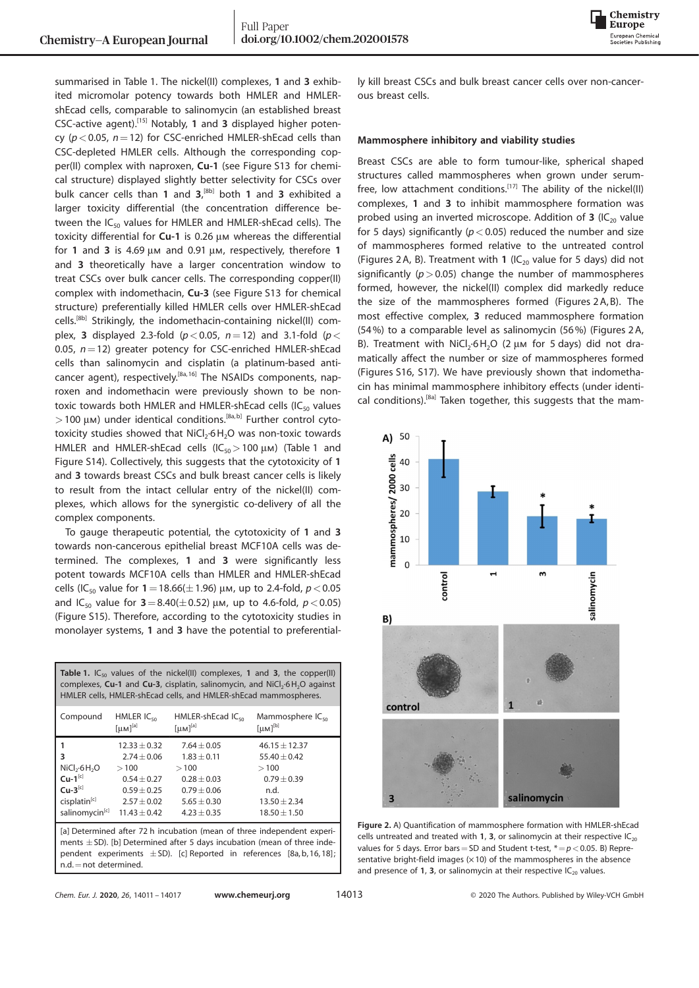

summarised in Table 1. The nickel(II) complexes, 1 and 3 exhibited micromolar potency towards both HMLER and HMLERshEcad cells, comparable to salinomycin (an established breast CSC-active agent).[15] Notably, 1 and 3 displayed higher potency ( $p < 0.05$ ,  $n = 12$ ) for CSC-enriched HMLER-shEcad cells than CSC-depleted HMLER cells. Although the corresponding copper(II) complex with naproxen, Cu-1 (see Figure S13 for chemical structure) displayed slightly better selectivity for CSCs over bulk cancer cells than 1 and  $3$ ,  $[8b]$  both 1 and 3 exhibited a larger toxicity differential (the concentration difference between the  $IC_{50}$  values for HMLER and HMLER-shEcad cells). The toxicity differential for  $Cu-1$  is 0.26  $\mu$ m whereas the differential for 1 and 3 is 4.69  $\mu$ m and 0.91  $\mu$ m, respectively, therefore 1 and 3 theoretically have a larger concentration window to treat CSCs over bulk cancer cells. The corresponding copper(II) complex with indomethacin, Cu-3 (see Figure S13 for chemical structure) preferentially killed HMLER cells over HMLER-shEcad cells.[8b] Strikingly, the indomethacin-containing nickel(II) complex, 3 displayed 2.3-fold  $(p < 0.05, n = 12)$  and 3.1-fold  $(p <$ 0.05,  $n=12$ ) greater potency for CSC-enriched HMLER-shEcad cells than salinomycin and cisplatin (a platinum-based anticancer agent), respectively.<sup>[8a, 16]</sup> The NSAIDs components, naproxen and indomethacin were previously shown to be nontoxic towards both HMLER and HMLER-shEcad cells ( $IC_{50}$  values  $>$  100  $\mu$ m) under identical conditions.<sup>[8a,b]</sup> Further control cytotoxicity studies showed that  $\mathsf{NiCl}_2\text{-}6\mathsf{H}_2\mathsf{O}$  was non-toxic towards HMLER and HMLER-shEcad cells  $(IC_{50} > 100 \mu)$  (Table 1 and Figure S14). Collectively, this suggests that the cytotoxicity of 1 and 3 towards breast CSCs and bulk breast cancer cells is likely to result from the intact cellular entry of the nickel(II) complexes, which allows for the synergistic co-delivery of all the complex components.

To gauge therapeutic potential, the cytotoxicity of 1 and 3 towards non-cancerous epithelial breast MCF10A cells was determined. The complexes, 1 and 3 were significantly less potent towards MCF10A cells than HMLER and HMLER-shEcad cells (IC<sub>50</sub> value for  $1 = 18.66(\pm 1.96)$  µm, up to 2.4-fold,  $p < 0.05$ and IC<sub>50</sub> value for  $3 = 8.40(\pm 0.52)$  µm, up to 4.6-fold,  $p < 0.05$ ) (Figure S15). Therefore, according to the cytotoxicity studies in monolayer systems, 1 and 3 have the potential to preferential-

| HMLER $IC_{50}$<br>Mammosphere IC <sub>50</sub><br>Compound<br>HMLER-shEcad IC <sub>50</sub><br>$\lceil \mu M \rceil^{[a]}$<br>$[\mu M]^{[b]}$<br>$\lceil \mu \text{M} \rceil^{[a]}$<br>$46.15 \pm 12.37$<br>$12.33 + 0.32$<br>$7.64 + 0.05$<br>3<br>$2.74 + 0.06$<br>$1.83 + 0.11$<br>$55.40 + 0.42$<br>NiCl <sub>2</sub> ·6H <sub>2</sub> O<br>>100<br>>100<br>>100<br>$Cu-1^{[c]}$<br>$0.79 \pm 0.39$<br>$0.54 + 0.27$<br>$0.28 + 0.03$<br>$Cu-3^{[c]}$<br>$0.59 + 0.25$<br>$0.79 + 0.06$<br>n.d.<br>cisplatin <sup>[c]</sup><br>$2.57\pm0.02$<br>$13.50 + 2.34$<br>$5.65 + 0.30$ | <b>Table 1.</b> IC <sub>50</sub> values of the nickel(II) complexes, 1 and 3, the copper(II)<br>complexes, Cu-1 and Cu-3, cisplatin, salinomycin, and NiCl <sub>2</sub> .6H <sub>2</sub> O against<br>HMLER cells, HMLER-shEcad cells, and HMLER-shEcad mammospheres. |                |               |                |  |  |
|--------------------------------------------------------------------------------------------------------------------------------------------------------------------------------------------------------------------------------------------------------------------------------------------------------------------------------------------------------------------------------------------------------------------------------------------------------------------------------------------------------------------------------------------------------------------------------------|-----------------------------------------------------------------------------------------------------------------------------------------------------------------------------------------------------------------------------------------------------------------------|----------------|---------------|----------------|--|--|
|                                                                                                                                                                                                                                                                                                                                                                                                                                                                                                                                                                                      |                                                                                                                                                                                                                                                                       |                |               |                |  |  |
|                                                                                                                                                                                                                                                                                                                                                                                                                                                                                                                                                                                      |                                                                                                                                                                                                                                                                       |                |               |                |  |  |
|                                                                                                                                                                                                                                                                                                                                                                                                                                                                                                                                                                                      |                                                                                                                                                                                                                                                                       |                |               |                |  |  |
|                                                                                                                                                                                                                                                                                                                                                                                                                                                                                                                                                                                      |                                                                                                                                                                                                                                                                       |                |               |                |  |  |
|                                                                                                                                                                                                                                                                                                                                                                                                                                                                                                                                                                                      |                                                                                                                                                                                                                                                                       |                |               |                |  |  |
|                                                                                                                                                                                                                                                                                                                                                                                                                                                                                                                                                                                      |                                                                                                                                                                                                                                                                       |                |               |                |  |  |
|                                                                                                                                                                                                                                                                                                                                                                                                                                                                                                                                                                                      |                                                                                                                                                                                                                                                                       |                |               |                |  |  |
|                                                                                                                                                                                                                                                                                                                                                                                                                                                                                                                                                                                      | salinomycin <sup>[c]</sup>                                                                                                                                                                                                                                            | $11.43 + 0.42$ | $4.23 + 0.35$ | $18.50 + 1.50$ |  |  |

[a] Determined after 72 h incubation (mean of three independent experiments  $\pm$  SD). [b] Determined after 5 days incubation (mean of three independent experiments  $\pm$  SD). [c] Reported in references [8a, b, 16, 18]; n.d.=not determined.

ly kill breast CSCs and bulk breast cancer cells over non-cancerous breast cells.

## Mammosphere inhibitory and viability studies

Breast CSCs are able to form tumour-like, spherical shaped structures called mammospheres when grown under serumfree, low attachment conditions.<sup>[17]</sup> The ability of the nickel(II) complexes, 1 and 3 to inhibit mammosphere formation was probed using an inverted microscope. Addition of 3 (IC<sub>20</sub> value for 5 days) significantly ( $p < 0.05$ ) reduced the number and size of mammospheres formed relative to the untreated control (Figures 2A, B). Treatment with 1 (IC $_{20}$  value for 5 days) did not significantly ( $p > 0.05$ ) change the number of mammospheres formed, however, the nickel(II) complex did markedly reduce the size of the mammospheres formed (Figures 2 A, B). The most effective complex, 3 reduced mammosphere formation (54%) to a comparable level as salinomycin (56%) (Figures 2 A, B). Treatment with  $NiCl<sub>2</sub>·6H<sub>2</sub>O$  (2  $\mu$ m for 5 days) did not dramatically affect the number or size of mammospheres formed (Figures S16, S17). We have previously shown that indomethacin has minimal mammosphere inhibitory effects (under identical conditions).<sup>[8a]</sup> Taken together, this suggests that the mam-



Figure 2. A) Quantification of mammosphere formation with HMLER-shEcad cells untreated and treated with 1, 3, or salinomycin at their respective  $IC_{20}$ values for 5 days. Error bars = SD and Student t-test,  $* = p < 0.05$ . B) Representative bright-field images  $(x10)$  of the mammospheres in the absence and presence of 1, 3, or salinomycin at their respective  $IC_{20}$  values.

|  |  | Chem. Eur. J. 2020, 26, 14011 - 14017 |
|--|--|---------------------------------------|
|--|--|---------------------------------------|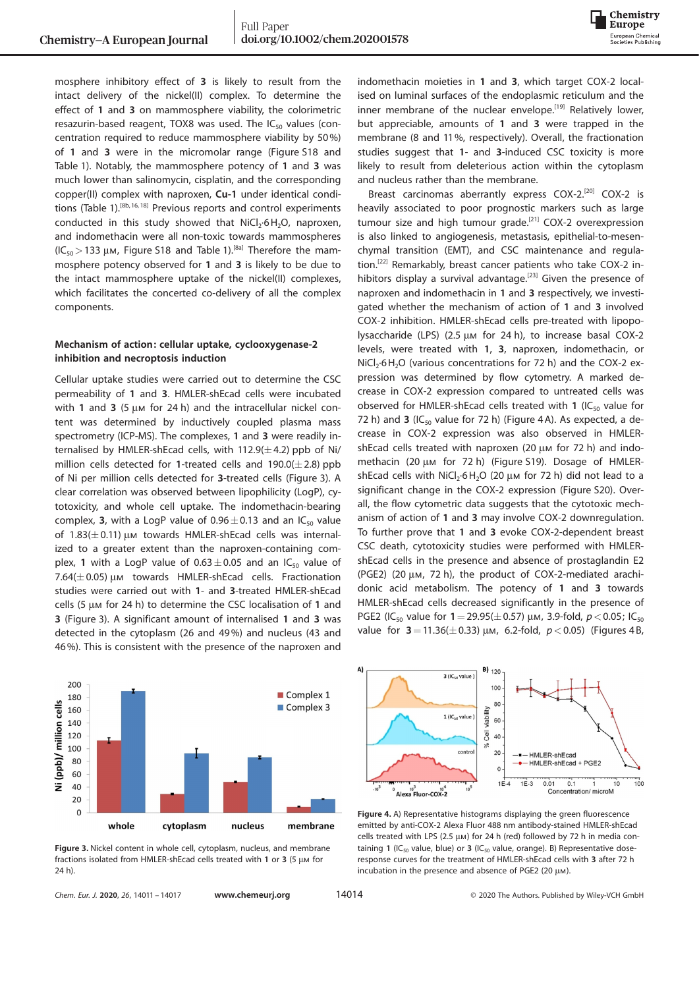

mosphere inhibitory effect of 3 is likely to result from the intact delivery of the nickel(II) complex. To determine the effect of 1 and 3 on mammosphere viability, the colorimetric resazurin-based reagent, TOX8 was used. The  $IC_{50}$  values (concentration required to reduce mammosphere viability by 50%) of 1 and 3 were in the micromolar range (Figure S18 and Table 1). Notably, the mammosphere potency of 1 and 3 was much lower than salinomycin, cisplatin, and the corresponding copper(II) complex with naproxen, Cu-1 under identical conditions (Table 1).[8b,16,18] Previous reports and control experiments conducted in this study showed that  $NiCl<sub>2</sub>·6H<sub>2</sub>O$ , naproxen, and indomethacin were all non-toxic towards mammospheres  $(IC_{50} > 133 \mu M,$  Figure S18 and Table 1).<sup>[8a]</sup> Therefore the mammosphere potency observed for 1 and 3 is likely to be due to the intact mammosphere uptake of the nickel(II) complexes, which facilitates the concerted co-delivery of all the complex components.

## Mechanism of action: cellular uptake, cyclooxygenase-2 inhibition and necroptosis induction

Cellular uptake studies were carried out to determine the CSC permeability of 1 and 3. HMLER-shEcad cells were incubated with 1 and 3 (5  $\mu$ m for 24 h) and the intracellular nickel content was determined by inductively coupled plasma mass spectrometry (ICP-MS). The complexes, 1 and 3 were readily internalised by HMLER-shEcad cells, with  $112.9(\pm4.2)$  ppb of Ni/ million cells detected for 1-treated cells and  $190.0(\pm 2.8)$  ppb of Ni per million cells detected for 3-treated cells (Figure 3). A clear correlation was observed between lipophilicity (LogP), cytotoxicity, and whole cell uptake. The indomethacin-bearing complex, 3, with a LogP value of  $0.96 \pm 0.13$  and an IC<sub>50</sub> value of  $1.83(\pm0.11)$  µm towards HMLER-shEcad cells was internalized to a greater extent than the naproxen-containing complex, 1 with a LogP value of  $0.63 \pm 0.05$  and an IC<sub>50</sub> value of 7.64( $\pm$  0.05)  $\mu$ m towards HMLER-shEcad cells. Fractionation studies were carried out with 1- and 3-treated HMLER-shEcad cells (5  $\mu$ m for 24 h) to determine the CSC localisation of 1 and 3 (Figure 3). A significant amount of internalised 1 and 3 was detected in the cytoplasm (26 and 49%) and nucleus (43 and 46%). This is consistent with the presence of the naproxen and



Figure 3. Nickel content in whole cell, cytoplasm, nucleus, and membrane fractions isolated from HMLER-shEcad cells treated with 1 or 3 (5  $\mu$ m for 24 h).

indomethacin moieties in 1 and 3, which target COX-2 localised on luminal surfaces of the endoplasmic reticulum and the inner membrane of the nuclear envelope.<sup>[19]</sup> Relatively lower, but appreciable, amounts of 1 and 3 were trapped in the membrane (8 and 11%, respectively). Overall, the fractionation studies suggest that 1- and 3-induced CSC toxicity is more likely to result from deleterious action within the cytoplasm and nucleus rather than the membrane.

Breast carcinomas aberrantly express COX-2.<sup>[20]</sup> COX-2 is heavily associated to poor prognostic markers such as large tumour size and high tumour grade.<sup>[21]</sup> COX-2 overexpression is also linked to angiogenesis, metastasis, epithelial-to-mesenchymal transition (EMT), and CSC maintenance and regulation.[22] Remarkably, breast cancer patients who take COX-2 inhibitors display a survival advantage.<sup>[23]</sup> Given the presence of naproxen and indomethacin in 1 and 3 respectively, we investigated whether the mechanism of action of 1 and 3 involved COX-2 inhibition. HMLER-shEcad cells pre-treated with lipopolysaccharide (LPS) (2.5  $\mu$ m for 24 h), to increase basal COX-2 levels, were treated with 1, 3, naproxen, indomethacin, or  $NiCl<sub>2</sub>·6H<sub>2</sub>O$  (various concentrations for 72 h) and the COX-2 expression was determined by flow cytometry. A marked decrease in COX-2 expression compared to untreated cells was observed for HMLER-shEcad cells treated with 1 ( $IC_{50}$  value for 72 h) and 3 (IC<sub>50</sub> value for 72 h) (Figure 4A). As expected, a decrease in COX-2 expression was also observed in HMLERshEcad cells treated with naproxen (20  $\mu$ m for 72 h) and indomethacin (20 µm for 72 h) (Figure S19). Dosage of HMLERshEcad cells with  $NiCl<sub>2</sub>·6H<sub>2</sub>O$  (20  $\mu$ m for 72 h) did not lead to a significant change in the COX-2 expression (Figure S20). Overall, the flow cytometric data suggests that the cytotoxic mechanism of action of 1 and 3 may involve COX-2 downregulation. To further prove that 1 and 3 evoke COX-2-dependent breast CSC death, cytotoxicity studies were performed with HMLERshEcad cells in the presence and absence of prostaglandin E2 (PGE2) (20  $\mu$ m, 72 h), the product of COX-2-mediated arachidonic acid metabolism. The potency of 1 and 3 towards HMLER-shEcad cells decreased significantly in the presence of PGE2 (IC<sub>50</sub> value for  $1 = 29.95(\pm 0.57)$  µm, 3.9-fold,  $p < 0.05$ ; IC<sub>50</sub> value for  $3 = 11.36(\pm 0.33)$   $\mu$ m, 6.2-fold,  $p < 0.05$ ) (Figures 4 B,



Figure 4. A) Representative histograms displaying the green fluorescence emitted by anti-COX-2 Alexa Fluor 488 nm antibody-stained HMLER-shEcad cells treated with LPS (2.5  $\mu$ m) for 24 h (red) followed by 72 h in media containing 1 (IC<sub>50</sub> value, blue) or 3 (IC<sub>50</sub> value, orange). B) Representative doseresponse curves for the treatment of HMLER-shEcad cells with 3 after 72 h incubation in the presence and absence of PGE2 (20  $\mu$ m).

Chem. Eur. J. 2020, 26, 14011 - 14017 [www.chemeurj.org](http://www.chemeurj.org) 14014 Chem. Eur. 3020 The Authors. Published by Wiley-VCH GmbH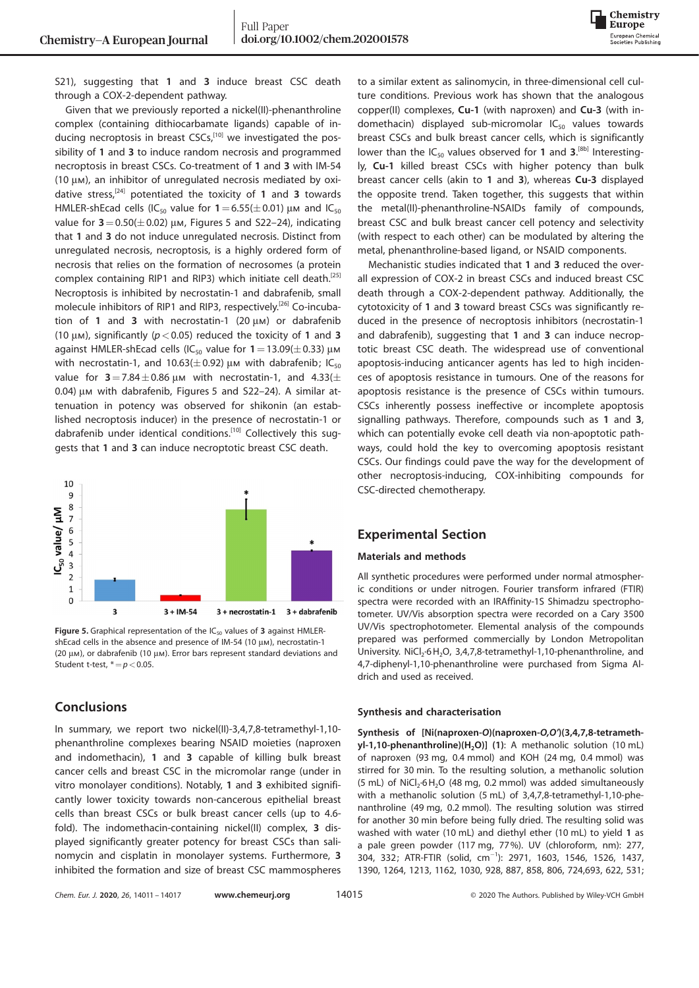

S21), suggesting that 1 and 3 induce breast CSC death through a COX-2-dependent pathway.

Given that we previously reported a nickel(II)-phenanthroline complex (containing dithiocarbamate ligands) capable of inducing necroptosis in breast CSCs,<sup>[10]</sup> we investigated the possibility of 1 and 3 to induce random necrosis and programmed necroptosis in breast CSCs. Co-treatment of 1 and 3 with IM-54 (10  $\mu$ m), an inhibitor of unregulated necrosis mediated by oxidative stress,<sup>[24]</sup> potentiated the toxicity of 1 and 3 towards HMLER-shEcad cells (IC<sub>50</sub> value for  $1=6.55(\pm0.01)$  µm and IC<sub>50</sub> value for  $3=0.50(\pm0.02)$  µm, Figures 5 and S22–24), indicating that 1 and 3 do not induce unregulated necrosis. Distinct from unregulated necrosis, necroptosis, is a highly ordered form of necrosis that relies on the formation of necrosomes (a protein complex containing RIP1 and RIP3) which initiate cell death.<sup>[25]</sup> Necroptosis is inhibited by necrostatin-1 and dabrafenib, small molecule inhibitors of RIP1 and RIP3, respectively.<sup>[26]</sup> Co-incubation of 1 and 3 with necrostatin-1 (20  $\mu$ m) or dabrafenib (10  $\mu$ m), significantly ( $p < 0.05$ ) reduced the toxicity of 1 and 3 against HMLER-shEcad cells (IC<sub>50</sub> value for  $1=13.09(\pm0.33)$  µm with necrostatin-1, and 10.63( $\pm$ 0.92)  $\mu$ m with dabrafenib; IC<sub>50</sub> value for  $3 = 7.84 \pm 0.86$  µm with necrostatin-1, and 4.33( $\pm$ 0.04) μm with dabrafenib, Figures 5 and S22-24). A similar attenuation in potency was observed for shikonin (an established necroptosis inducer) in the presence of necrostatin-1 or dabrafenib under identical conditions.<sup>[10]</sup> Collectively this suggests that 1 and 3 can induce necroptotic breast CSC death.



Figure 5. Graphical representation of the  $IC_{50}$  values of 3 against HMLERshEcad cells in the absence and presence of IM-54 (10  $\mu$ m), necrostatin-1  $(20 \mu)$ , or dabrafenib  $(10 \mu)$ . Error bars represent standard deviations and Student t-test,  $* = p < 0.05$ .

## **Conclusions**

In summary, we report two nickel(II)-3,4,7,8-tetramethyl-1,10 phenanthroline complexes bearing NSAID moieties (naproxen and indomethacin), 1 and 3 capable of killing bulk breast cancer cells and breast CSC in the micromolar range (under in vitro monolayer conditions). Notably, 1 and 3 exhibited significantly lower toxicity towards non-cancerous epithelial breast cells than breast CSCs or bulk breast cancer cells (up to 4.6 fold). The indomethacin-containing nickel(II) complex, 3 displayed significantly greater potency for breast CSCs than salinomycin and cisplatin in monolayer systems. Furthermore, 3 inhibited the formation and size of breast CSC mammospheres to a similar extent as salinomycin, in three-dimensional cell culture conditions. Previous work has shown that the analogous copper(II) complexes, Cu-1 (with naproxen) and Cu-3 (with indomethacin) displayed sub-micromolar  $IC_{50}$  values towards breast CSCs and bulk breast cancer cells, which is significantly lower than the  $IC_{50}$  values observed for 1 and 3.<sup>[8b]</sup> Interestingly, Cu-1 killed breast CSCs with higher potency than bulk breast cancer cells (akin to 1 and 3), whereas Cu-3 displayed the opposite trend. Taken together, this suggests that within the metal(II)-phenanthroline-NSAIDs family of compounds, breast CSC and bulk breast cancer cell potency and selectivity (with respect to each other) can be modulated by altering the metal, phenanthroline-based ligand, or NSAID components.

Mechanistic studies indicated that 1 and 3 reduced the overall expression of COX-2 in breast CSCs and induced breast CSC death through a COX-2-dependent pathway. Additionally, the cytotoxicity of 1 and 3 toward breast CSCs was significantly reduced in the presence of necroptosis inhibitors (necrostatin-1 and dabrafenib), suggesting that 1 and 3 can induce necroptotic breast CSC death. The widespread use of conventional apoptosis-inducing anticancer agents has led to high incidences of apoptosis resistance in tumours. One of the reasons for apoptosis resistance is the presence of CSCs within tumours. CSCs inherently possess ineffective or incomplete apoptosis signalling pathways. Therefore, compounds such as 1 and 3, which can potentially evoke cell death via non-apoptotic pathways, could hold the key to overcoming apoptosis resistant CSCs. Our findings could pave the way for the development of other necroptosis-inducing, COX-inhibiting compounds for CSC-directed chemotherapy.

# Experimental Section

## Materials and methods

All synthetic procedures were performed under normal atmospheric conditions or under nitrogen. Fourier transform infrared (FTIR) spectra were recorded with an IRAffinity-1S Shimadzu spectrophotometer. UV/Vis absorption spectra were recorded on a Cary 3500 UV/Vis spectrophotometer. Elemental analysis of the compounds prepared was performed commercially by London Metropolitan University. NiCl<sub>2</sub><sup>-6</sup> H<sub>2</sub>O, 3,4,7,8-tetramethyl-1,10-phenanthroline, and 4,7-diphenyl-1,10-phenanthroline were purchased from Sigma Aldrich and used as received.

#### Synthesis and characterisation

Synthesis of [Ni(naproxen-O)(naproxen-O,O')(3,4,7,8-tetramethyl-1,10-phenanthroline)(H<sub>2</sub>O)] (1): A methanolic solution (10 mL) of naproxen (93 mg, 0.4 mmol) and KOH (24 mg, 0.4 mmol) was stirred for 30 min. To the resulting solution, a methanolic solution  $(5 \text{ mL})$  of NiCl<sub>2</sub>·6 H<sub>2</sub>O (48 mg, 0.2 mmol) was added simultaneously with a methanolic solution (5 mL) of 3,4,7,8-tetramethyl-1,10-phenanthroline (49 mg, 0.2 mmol). The resulting solution was stirred for another 30 min before being fully dried. The resulting solid was washed with water (10 mL) and diethyl ether (10 mL) to yield 1 as a pale green powder (117 mg, 77%). UV (chloroform, nm): 277, 304, 332; ATR-FTIR (solid, cm@<sup>1</sup> ): 2971, 1603, 1546, 1526, 1437, 1390, 1264, 1213, 1162, 1030, 928, 887, 858, 806, 724,693, 622, 531;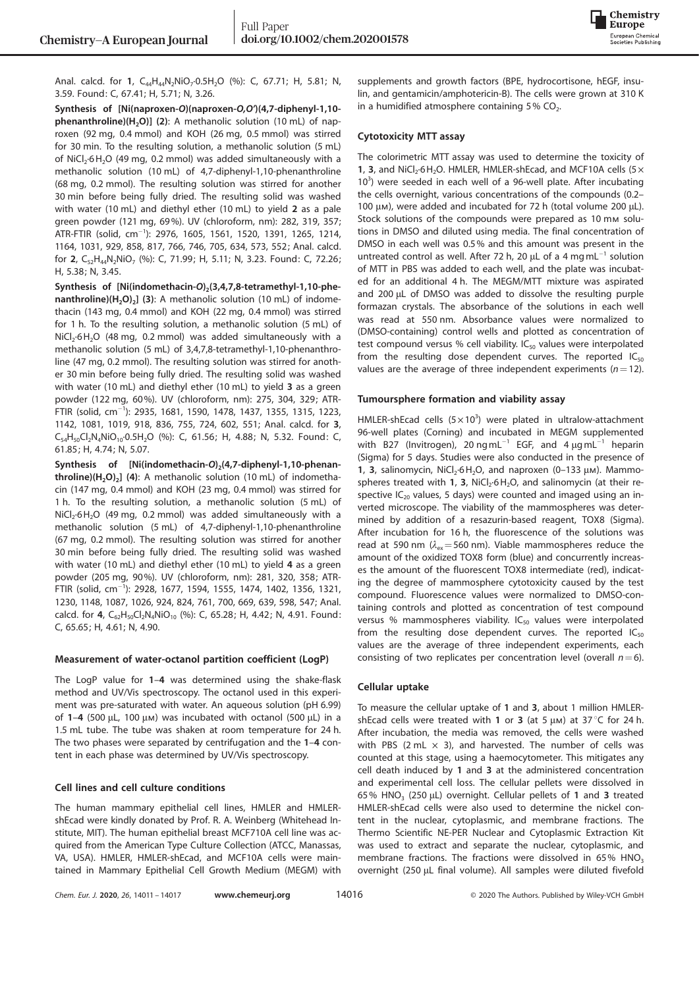

Anal. calcd. for 1,  $C_{44}H_{44}N_2NiO_7.0.5H_2O$  (%): C, 67.71; H, 5.81; N, 3.59. Found: C, 67.41; H, 5.71; N, 3.26.

Synthesis of [Ni(naproxen-O)(naproxen-O,O')(4,7-diphenyl-1,10 phenanthroline)( $H_2O$ )] (2): A methanolic solution (10 mL) of naproxen (92 mg, 0.4 mmol) and KOH (26 mg, 0.5 mmol) was stirred for 30 min. To the resulting solution, a methanolic solution (5 mL) of NiCl<sub>2</sub>·6H<sub>2</sub>O (49 mg, 0.2 mmol) was added simultaneously with a methanolic solution (10 mL) of 4,7-diphenyl-1,10-phenanthroline (68 mg, 0.2 mmol). The resulting solution was stirred for another 30 min before being fully dried. The resulting solid was washed with water (10 mL) and diethyl ether (10 mL) to yield 2 as a pale green powder (121 mg, 69%). UV (chloroform, nm): 282, 319, 357;  $\text{ATR-FTIR}$  (solid, cm $^{-1}$ ): 2976, 1605, 1561, 1520, 1391, 1265, 1214, 1164, 1031, 929, 858, 817, 766, 746, 705, 634, 573, 552; Anal. calcd. for **2**, C<sub>52</sub>H<sub>44</sub>N<sub>2</sub>NiO<sub>7</sub> (%): C, 71.99; H, 5.11; N, 3.23. Found: C, 72.26; H, 5.38; N, 3.45.

Synthesis of [Ni(indomethacin-O)<sub>2</sub>(3,4,7,8-tetramethyl-1,10-phe- $\textsf{nanthroline}(H_2O)_2$  (3): A methanolic solution (10 mL) of indomethacin (143 mg, 0.4 mmol) and KOH (22 mg, 0.4 mmol) was stirred for 1 h. To the resulting solution, a methanolic solution (5 mL) of  $NiCl<sub>2</sub>·6H<sub>2</sub>O$  (48 mg, 0.2 mmol) was added simultaneously with a methanolic solution (5 mL) of 3,4,7,8-tetramethyl-1,10-phenanthroline (47 mg, 0.2 mmol). The resulting solution was stirred for another 30 min before being fully dried. The resulting solid was washed with water (10 mL) and diethyl ether (10 mL) to yield 3 as a green powder (122 mg, 60%). UV (chloroform, nm): 275, 304, 329; ATR-FTIR (solid, cm<sup>-1</sup>): 2935, 1681, 1590, 1478, 1437, 1355, 1315, 1223, 1142, 1081, 1019, 918, 836, 755, 724, 602, 551; Anal. calcd. for 3,  $C_{54}H_{50}Cl_2N_4NiO_{10} \cdot 0.5H_2O$  (%): C, 61.56; H, 4.88; N, 5.32. Found: C, 61.85; H, 4.74; N, 5.07.

Synthesis of [Ni(indomethacin-O)<sub>2</sub>(4,7-diphenyl-1,10-phenan**throline)(H<sub>2</sub>O)<sub>2</sub>] (4)**: A methanolic solution (10 mL) of indomethacin (147 mg, 0.4 mmol) and KOH (23 mg, 0.4 mmol) was stirred for 1 h. To the resulting solution, a methanolic solution (5 mL) of  $NiCl<sub>2</sub>·6H<sub>2</sub>O$  (49 mg, 0.2 mmol) was added simultaneously with a methanolic solution (5 mL) of 4,7-diphenyl-1,10-phenanthroline (67 mg, 0.2 mmol). The resulting solution was stirred for another 30 min before being fully dried. The resulting solid was washed with water (10 mL) and diethyl ether (10 mL) to yield 4 as a green powder (205 mg, 90%). UV (chloroform, nm): 281, 320, 358; ATR-FTIR (solid, cm<sup>-1</sup>): 2928, 1677, 1594, 1555, 1474, 1402, 1356, 1321, 1230, 1148, 1087, 1026, 924, 824, 761, 700, 669, 639, 598, 547; Anal. calcd. for  $4$ ,  $C_{62}H_{50}Cl_2N_4NiO_{10}$  (%): C, 65.28; H, 4.42; N, 4.91. Found: C, 65.65; H, 4.61; N, 4.90.

#### Measurement of water-octanol partition coefficient (LogP)

The LogP value for 1–4 was determined using the shake-flask method and UV/Vis spectroscopy. The octanol used in this experiment was pre-saturated with water. An aqueous solution (pH 6.99) of  $1-4$  (500 µL, 100 µm) was incubated with octanol (500 µL) in a 1.5 mL tube. The tube was shaken at room temperature for 24 h. The two phases were separated by centrifugation and the 1–4 content in each phase was determined by UV/Vis spectroscopy.

## Cell lines and cell culture conditions

The human mammary epithelial cell lines, HMLER and HMLERshEcad were kindly donated by Prof. R. A. Weinberg (Whitehead Institute, MIT). The human epithelial breast MCF710A cell line was acquired from the American Type Culture Collection (ATCC, Manassas, VA, USA). HMLER, HMLER-shEcad, and MCF10A cells were maintained in Mammary Epithelial Cell Growth Medium (MEGM) with supplements and growth factors (BPE, hydrocortisone, hEGF, insulin, and gentamicin/amphotericin-B). The cells were grown at 310 K in a humidified atmosphere containing  $5\%$  CO<sub>2</sub>.

#### Cytotoxicity MTT assay

The colorimetric MTT assay was used to determine the toxicity of 1, 3, and  $NiCl<sub>2</sub>·6H<sub>2</sub>O. HMLER, HMLER-shEcad, and MCF10A cells (5× $\frac{3}{2}$$ 10<sup>3</sup>) were seeded in each well of a 96-well plate. After incubating the cells overnight, various concentrations of the compounds (0.2– 100  $\mu$ m), were added and incubated for 72 h (total volume 200  $\mu$ L). Stock solutions of the compounds were prepared as 10 mm solutions in DMSO and diluted using media. The final concentration of DMSO in each well was 0.5% and this amount was present in the untreated control as well. After 72 h, 20  $\mu$ L of a 4 mg mL<sup>-1</sup> solution of MTT in PBS was added to each well, and the plate was incubated for an additional 4 h. The MEGM/MTT mixture was aspirated and 200 µL of DMSO was added to dissolve the resulting purple formazan crystals. The absorbance of the solutions in each well was read at 550 nm. Absorbance values were normalized to (DMSO-containing) control wells and plotted as concentration of test compound versus % cell viability.  $IC_{50}$  values were interpolated from the resulting dose dependent curves. The reported  $IC_{50}$ values are the average of three independent experiments  $(n=12)$ .

#### Tumoursphere formation and viability assay

HMLER-shEcad cells  $(5 \times 10^3)$  were plated in ultralow-attachment 96-well plates (Corning) and incubated in MEGM supplemented with B27 (Invitrogen), 20 ng mL<sup>-1</sup> EGF, and 4  $\mu$ g mL<sup>-1</sup> heparin (Sigma) for 5 days. Studies were also conducted in the presence of 1, 3, salinomycin,  $NiCl<sub>2</sub>·6H<sub>2</sub>O$ , and naproxen (0-133  $\mu$ m). Mammospheres treated with 1, 3,  $NiCl<sub>2</sub>·6H<sub>2</sub>O$ , and salinomycin (at their respective  $IC_{20}$  values, 5 days) were counted and imaged using an inverted microscope. The viability of the mammospheres was determined by addition of a resazurin-based reagent, TOX8 (Sigma). After incubation for 16 h, the fluorescence of the solutions was read at 590 nm ( $\lambda_{ex}$ =560 nm). Viable mammospheres reduce the amount of the oxidized TOX8 form (blue) and concurrently increases the amount of the fluorescent TOX8 intermediate (red), indicating the degree of mammosphere cytotoxicity caused by the test compound. Fluorescence values were normalized to DMSO-containing controls and plotted as concentration of test compound versus % mammospheres viability.  $IC_{50}$  values were interpolated from the resulting dose dependent curves. The reported  $IC_{50}$ values are the average of three independent experiments, each consisting of two replicates per concentration level (overall  $n=6$ ).

## Cellular uptake

To measure the cellular uptake of 1 and 3, about 1 million HMLERshEcad cells were treated with 1 or 3 (at 5  $\mu$ m) at 37 °C for 24 h. After incubation, the media was removed, the cells were washed with PBS (2 mL  $\times$  3), and harvested. The number of cells was counted at this stage, using a haemocytometer. This mitigates any cell death induced by 1 and 3 at the administered concentration and experimental cell loss. The cellular pellets were dissolved in 65% HNO<sub>3</sub> (250  $\mu$ L) overnight. Cellular pellets of 1 and 3 treated HMLER-shEcad cells were also used to determine the nickel content in the nuclear, cytoplasmic, and membrane fractions. The Thermo Scientific NE-PER Nuclear and Cytoplasmic Extraction Kit was used to extract and separate the nuclear, cytoplasmic, and membrane fractions. The fractions were dissolved in 65%  $HNO<sub>3</sub>$ overnight (250 µL final volume). All samples were diluted fivefold